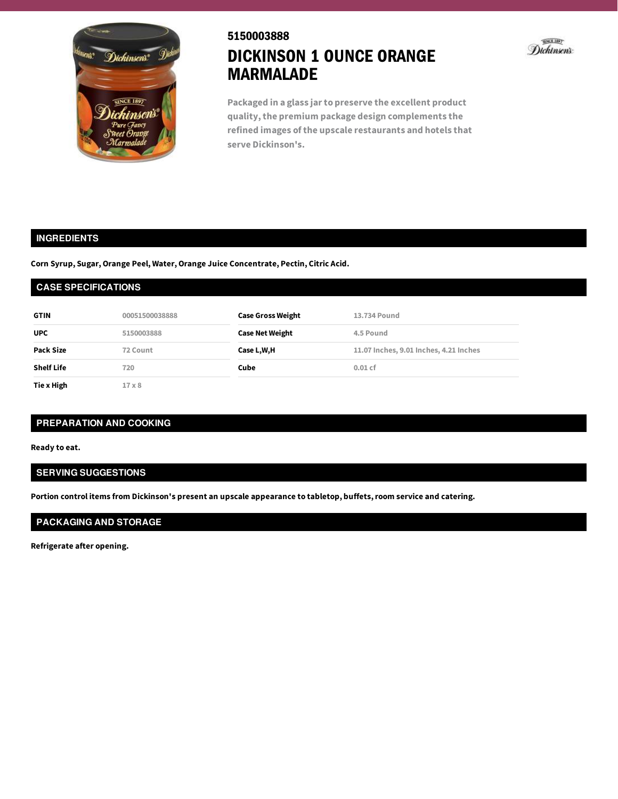

# 5150003888 DICKINSON 1 OUNCE ORANGE MARMALADE



**Packaged in a glass jarto preserve the excellent product quality,the premium package design complements the refined images of the upscale restaurants and hotels that serve Dickinson's.**

# **INGREDIENTS**

**Corn Syrup, Sugar, Orange Peel, Water, Orange Juice Concentrate, Pectin, Citric Acid.**

#### **CASE SPECIFICATIONS**

| <b>GTIN</b>       | 00051500038888 | <b>Case Gross Weight</b> | 13.734 Pound                           |
|-------------------|----------------|--------------------------|----------------------------------------|
| <b>UPC</b>        | 5150003888     | <b>Case Net Weight</b>   | 4.5 Pound                              |
| <b>Pack Size</b>  | 72 Count       | Case L,W,H               | 11.07 Inches, 9.01 Inches, 4.21 Inches |
| <b>Shelf Life</b> | 720            | Cube                     | $0.01$ cf                              |
| Tie x High        | $17 \times 8$  |                          |                                        |

### **PREPARATION AND COOKING**

**Ready to eat.**

# **SERVING SUGGESTIONS**

**Portion control items from Dickinson's present an upscale appearance to tabletop, buffets,room service and catering.**

# **PACKAGING AND STORAGE**

**Refrigerate after opening.**